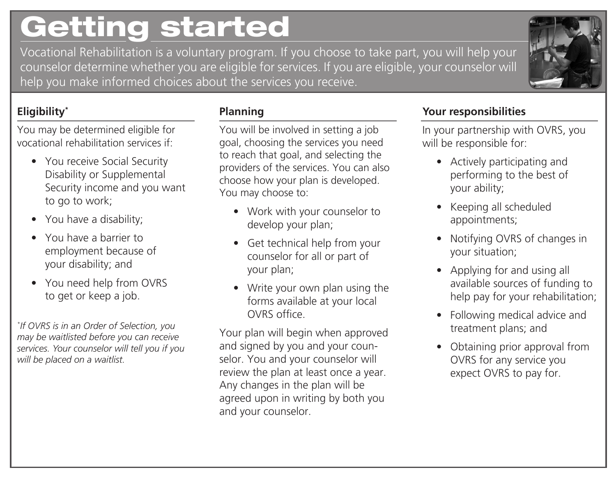# Getting started

Vocational Rehabilitation is a voluntary program. If you choose to take part, you will help your counselor determine whether you are eligible for services. If you are eligible, your counselor will help you make informed choices about the services you receive.



### **Eligibility\***

You may be determined eligible for vocational rehabilitation services if:

- You receive Social Security Disability or Supplemental Security income and you want to go to work;
- You have a disability;
- You have a barrier to employment because of your disability; and
- You need help from OVRS to get or keep a job.

*\* If OVRS is in an Order of Selection, you may be waitlisted before you can receive services. Your counselor will tell you if you will be placed on a waitlist.*

#### **Planning**

You will be involved in setting a job goal, choosing the services you need to reach that goal, and selecting the providers of the services. You can also choose how your plan is developed. You may choose to:

- Work with your counselor to develop your plan;
- Get technical help from your counselor for all or part of your plan;
- Write your own plan using the forms available at your local OVRS office.

Your plan will begin when approved and signed by you and your counselor. You and your counselor will review the plan at least once a year. Any changes in the plan will be agreed upon in writing by both you and your counselor.

#### **Your responsibilities**

In your partnership with OVRS, you will be responsible for:

- Actively participating and performing to the best of your ability;
- Keeping all scheduled appointments;
- Notifying OVRS of changes in your situation;
- Applying for and using all available sources of funding to help pay for your rehabilitation;
- Following medical advice and treatment plans; and
- Obtaining prior approval from OVRS for any service you expect OVRS to pay for.